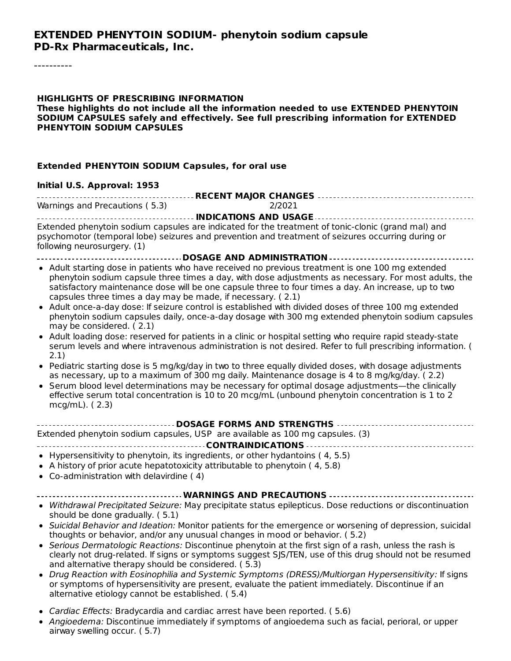#### **EXTENDED PHENYTOIN SODIUM- phenytoin sodium capsule PD-Rx Pharmaceuticals, Inc.**

----------

#### **HIGHLIGHTS OF PRESCRIBING INFORMATION These highlights do not include all the information needed to use EXTENDED PHENYTOIN SODIUM CAPSULES safely and effectively. See full prescribing information for EXTENDED PHENYTOIN SODIUM CAPSULES**

#### **Extended PHENYTOIN SODIUM Capsules, for oral use**

#### **Initial U.S. Approval: 1953**

| Warnings and Precautions (5.3)<br>2/2021 |  |  |  |  |  |
|------------------------------------------|--|--|--|--|--|

**INDICATIONS AND USAGE** Extended phenytoin sodium capsules are indicated for the treatment of tonic-clonic (grand mal) and psychomotor (temporal lobe) seizures and prevention and treatment of seizures occurring during or following neurosurgery. (1)

- **DOSAGE AND ADMINISTRATION**
- Adult starting dose in patients who have received no previous treatment is one 100 mg extended phenytoin sodium capsule three times a day, with dose adjustments as necessary. For most adults, the satisfactory maintenance dose will be one capsule three to four times a day. An increase, up to two capsules three times a day may be made, if necessary. ( 2.1)
- Adult once-a-day dose: If seizure control is established with divided doses of three 100 mg extended phenytoin sodium capsules daily, once-a-day dosage with 300 mg extended phenytoin sodium capsules may be considered. ( 2.1)
- Adult loading dose: reserved for patients in a clinic or hospital setting who require rapid steady-state serum levels and where intravenous administration is not desired. Refer to full prescribing information. ( 2.1)
- Pediatric starting dose is 5 mg/kg/day in two to three equally divided doses, with dosage adjustments as necessary, up to a maximum of 300 mg daily. Maintenance dosage is 4 to 8 mg/kg/day. ( 2.2)
- Serum blood level determinations may be necessary for optimal dosage adjustments—the clinically effective serum total concentration is 10 to 20 mcg/mL (unbound phenytoin concentration is 1 to 2 mcg/mL). ( 2.3)

| Extended phenytoin sodium capsules, USP are available as 100 mg capsules. (3) |  |  |  |
|-------------------------------------------------------------------------------|--|--|--|
|                                                                               |  |  |  |

- $\bullet$  Hypersensitivity to phenytoin, its ingredients, or other hydantoins (4, 5.5)
- A history of prior acute hepatotoxicity attributable to phenytoin ( 4, 5.8)
- Co-administration with delavirdine ( 4)

#### **WARNINGS AND PRECAUTIONS**

- Withdrawal Precipitated Seizure: May precipitate status epilepticus. Dose reductions or discontinuation should be done gradually. ( 5.1)
- Suicidal Behavior and Ideation: Monitor patients for the emergence or worsening of depression, suicidal thoughts or behavior, and/or any unusual changes in mood or behavior. ( 5.2)
- Serious Dermatologic Reactions: Discontinue phenytoin at the first sign of a rash, unless the rash is clearly not drug-related. If signs or symptoms suggest SJS/TEN, use of this drug should not be resumed and alternative therapy should be considered. ( 5.3)
- Drug Reaction with Eosinophilia and Systemic Symptoms (DRESS)/Multiorgan Hypersensitivity: If signs or symptoms of hypersensitivity are present, evaluate the patient immediately. Discontinue if an alternative etiology cannot be established. ( 5.4)
- Cardiac Effects: Bradycardia and cardiac arrest have been reported. ( 5.6)
- Angioedema: Discontinue immediately if symptoms of angioedema such as facial, perioral, or upper airway swelling occur. ( 5.7)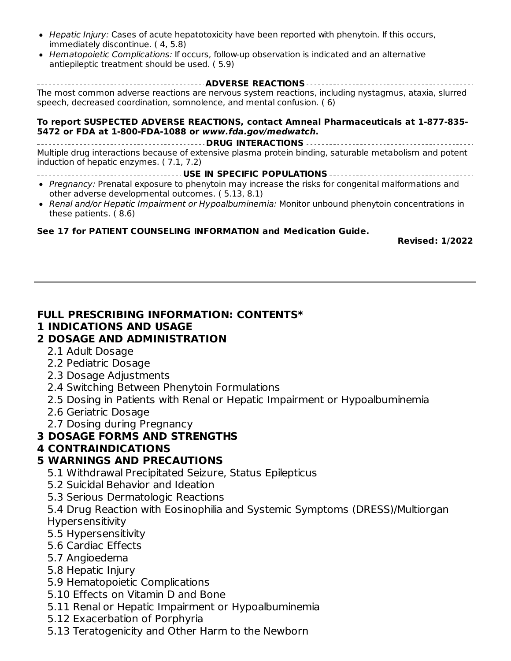- Hepatic Injury: Cases of acute hepatotoxicity have been reported with phenytoin. If this occurs, immediately discontinue. ( 4, 5.8)
- Hematopoietic Complications: If occurs, follow-up observation is indicated and an alternative antiepileptic treatment should be used. ( 5.9)

**ADVERSE REACTIONS** The most common adverse reactions are nervous system reactions, including nystagmus, ataxia, slurred speech, decreased coordination, somnolence, and mental confusion. ( 6)

#### **To report SUSPECTED ADVERSE REACTIONS, contact Amneal Pharmaceuticals at 1-877-835- 5472 or FDA at 1-800-FDA-1088 or www.fda.gov/medwatch.**

**DRUG INTERACTIONS** Multiple drug interactions because of extensive plasma protein binding, saturable metabolism and potent induction of hepatic enzymes. ( 7.1, 7.2)

**USE IN SPECIFIC POPULATIONS**

- Pregnancy: Prenatal exposure to phenytoin may increase the risks for congenital malformations and other adverse developmental outcomes. ( 5.13, 8.1)
- Renal and/or Hepatic Impairment or Hypoalbuminemia: Monitor unbound phenytoin concentrations in these patients. ( 8.6)

#### **See 17 for PATIENT COUNSELING INFORMATION and Medication Guide.**

**Revised: 1/2022**

#### **FULL PRESCRIBING INFORMATION: CONTENTS\***

#### **1 INDICATIONS AND USAGE**

#### **2 DOSAGE AND ADMINISTRATION**

- 2.1 Adult Dosage
- 2.2 Pediatric Dosage
- 2.3 Dosage Adjustments
- 2.4 Switching Between Phenytoin Formulations
- 2.5 Dosing in Patients with Renal or Hepatic Impairment or Hypoalbuminemia
- 2.6 Geriatric Dosage
- 2.7 Dosing during Pregnancy

#### **3 DOSAGE FORMS AND STRENGTHS**

#### **4 CONTRAINDICATIONS**

#### **5 WARNINGS AND PRECAUTIONS**

- 5.1 Withdrawal Precipitated Seizure, Status Epilepticus
- 5.2 Suicidal Behavior and Ideation
- 5.3 Serious Dermatologic Reactions

5.4 Drug Reaction with Eosinophilia and Systemic Symptoms (DRESS)/Multiorgan Hypersensitivity

- 5.5 Hypersensitivity
- 5.6 Cardiac Effects
- 5.7 Angioedema
- 5.8 Hepatic Injury
- 5.9 Hematopoietic Complications
- 5.10 Effects on Vitamin D and Bone
- 5.11 Renal or Hepatic Impairment or Hypoalbuminemia
- 5.12 Exacerbation of Porphyria
- 5.13 Teratogenicity and Other Harm to the Newborn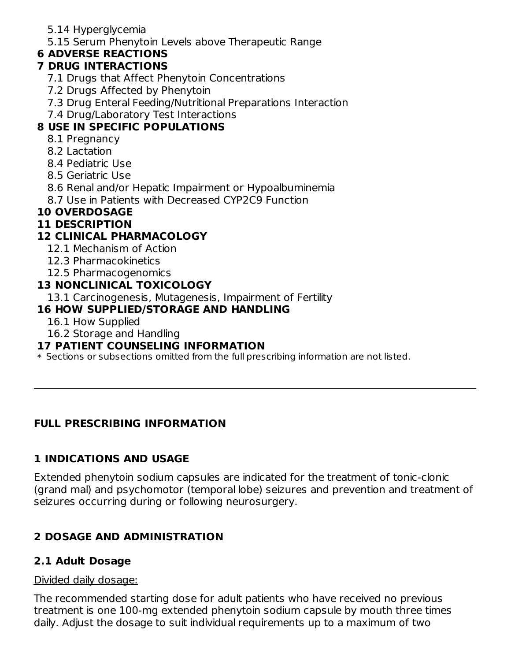- 5.14 Hyperglycemia
- 5.15 Serum Phenytoin Levels above Therapeutic Range

## **6 ADVERSE REACTIONS**

## **7 DRUG INTERACTIONS**

- 7.1 Drugs that Affect Phenytoin Concentrations
- 7.2 Drugs Affected by Phenytoin
- 7.3 Drug Enteral Feeding/Nutritional Preparations Interaction
- 7.4 Drug/Laboratory Test Interactions

## **8 USE IN SPECIFIC POPULATIONS**

- 8.1 Pregnancy
- 8.2 Lactation
- 8.4 Pediatric Use
- 8.5 Geriatric Use
- 8.6 Renal and/or Hepatic Impairment or Hypoalbuminemia
- 8.7 Use in Patients with Decreased CYP2C9 Function

## **10 OVERDOSAGE**

## **11 DESCRIPTION**

## **12 CLINICAL PHARMACOLOGY**

- 12.1 Mechanism of Action
- 12.3 Pharmacokinetics
- 12.5 Pharmacogenomics

#### **13 NONCLINICAL TOXICOLOGY**

13.1 Carcinogenesis, Mutagenesis, Impairment of Fertility

#### **16 HOW SUPPLIED/STORAGE AND HANDLING**

- 16.1 How Supplied
- 16.2 Storage and Handling

#### **17 PATIENT COUNSELING INFORMATION**

 $\ast$  Sections or subsections omitted from the full prescribing information are not listed.

## **FULL PRESCRIBING INFORMATION**

## **1 INDICATIONS AND USAGE**

Extended phenytoin sodium capsules are indicated for the treatment of tonic-clonic (grand mal) and psychomotor (temporal lobe) seizures and prevention and treatment of seizures occurring during or following neurosurgery.

# **2 DOSAGE AND ADMINISTRATION**

## **2.1 Adult Dosage**

#### Divided daily dosage:

The recommended starting dose for adult patients who have received no previous treatment is one 100-mg extended phenytoin sodium capsule by mouth three times daily. Adjust the dosage to suit individual requirements up to a maximum of two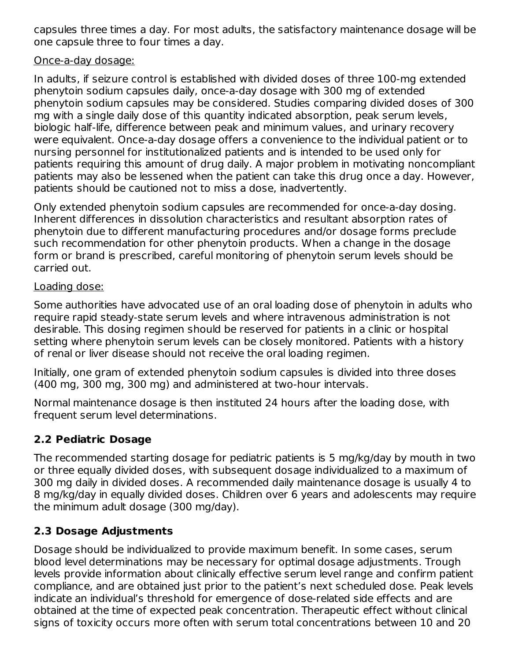capsules three times a day. For most adults, the satisfactory maintenance dosage will be one capsule three to four times a day.

#### Once-a-day dosage:

In adults, if seizure control is established with divided doses of three 100-mg extended phenytoin sodium capsules daily, once-a-day dosage with 300 mg of extended phenytoin sodium capsules may be considered. Studies comparing divided doses of 300 mg with a single daily dose of this quantity indicated absorption, peak serum levels, biologic half-life, difference between peak and minimum values, and urinary recovery were equivalent. Once-a-day dosage offers a convenience to the individual patient or to nursing personnel for institutionalized patients and is intended to be used only for patients requiring this amount of drug daily. A major problem in motivating noncompliant patients may also be lessened when the patient can take this drug once a day. However, patients should be cautioned not to miss a dose, inadvertently.

Only extended phenytoin sodium capsules are recommended for once-a-day dosing. Inherent differences in dissolution characteristics and resultant absorption rates of phenytoin due to different manufacturing procedures and/or dosage forms preclude such recommendation for other phenytoin products. When a change in the dosage form or brand is prescribed, careful monitoring of phenytoin serum levels should be carried out.

#### Loading dose:

Some authorities have advocated use of an oral loading dose of phenytoin in adults who require rapid steady-state serum levels and where intravenous administration is not desirable. This dosing regimen should be reserved for patients in a clinic or hospital setting where phenytoin serum levels can be closely monitored. Patients with a history of renal or liver disease should not receive the oral loading regimen.

Initially, one gram of extended phenytoin sodium capsules is divided into three doses (400 mg, 300 mg, 300 mg) and administered at two-hour intervals.

Normal maintenance dosage is then instituted 24 hours after the loading dose, with frequent serum level determinations.

#### **2.2 Pediatric Dosage**

The recommended starting dosage for pediatric patients is 5 mg/kg/day by mouth in two or three equally divided doses, with subsequent dosage individualized to a maximum of 300 mg daily in divided doses. A recommended daily maintenance dosage is usually 4 to 8 mg/kg/day in equally divided doses. Children over 6 years and adolescents may require the minimum adult dosage (300 mg/day).

#### **2.3 Dosage Adjustments**

Dosage should be individualized to provide maximum benefit. In some cases, serum blood level determinations may be necessary for optimal dosage adjustments. Trough levels provide information about clinically effective serum level range and confirm patient compliance, and are obtained just prior to the patient's next scheduled dose. Peak levels indicate an individual's threshold for emergence of dose-related side effects and are obtained at the time of expected peak concentration. Therapeutic effect without clinical signs of toxicity occurs more often with serum total concentrations between 10 and 20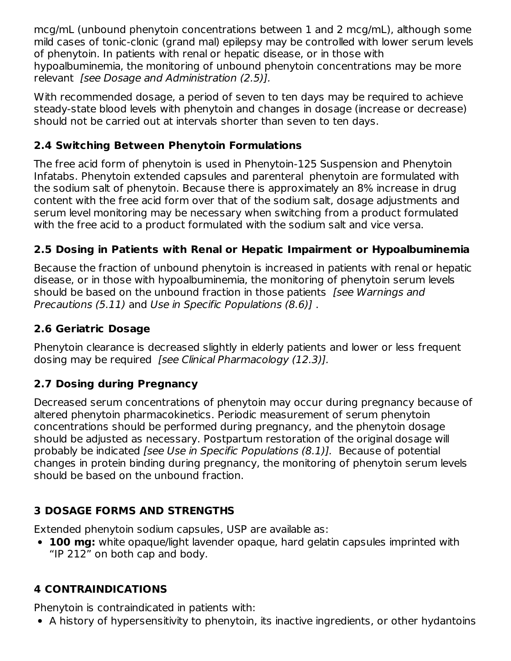mcg/mL (unbound phenytoin concentrations between 1 and 2 mcg/mL), although some mild cases of tonic-clonic (grand mal) epilepsy may be controlled with lower serum levels of phenytoin. In patients with renal or hepatic disease, or in those with hypoalbuminemia, the monitoring of unbound phenytoin concentrations may be more relevant [see Dosage and Administration (2.5)].

With recommended dosage, a period of seven to ten days may be required to achieve steady-state blood levels with phenytoin and changes in dosage (increase or decrease) should not be carried out at intervals shorter than seven to ten days.

## **2.4 Switching Between Phenytoin Formulations**

The free acid form of phenytoin is used in Phenytoin-125 Suspension and Phenytoin Infatabs. Phenytoin extended capsules and parenteral phenytoin are formulated with the sodium salt of phenytoin. Because there is approximately an 8% increase in drug content with the free acid form over that of the sodium salt, dosage adjustments and serum level monitoring may be necessary when switching from a product formulated with the free acid to a product formulated with the sodium salt and vice versa.

## **2.5 Dosing in Patients with Renal or Hepatic Impairment or Hypoalbuminemia**

Because the fraction of unbound phenytoin is increased in patients with renal or hepatic disease, or in those with hypoalbuminemia, the monitoring of phenytoin serum levels should be based on the unbound fraction in those patients *[see Warnings and* Precautions (5.11) and Use in Specific Populations (8.6)] .

## **2.6 Geriatric Dosage**

Phenytoin clearance is decreased slightly in elderly patients and lower or less frequent dosing may be required *[see Clinical Pharmacology (12.3)].* 

## **2.7 Dosing during Pregnancy**

Decreased serum concentrations of phenytoin may occur during pregnancy because of altered phenytoin pharmacokinetics. Periodic measurement of serum phenytoin concentrations should be performed during pregnancy, and the phenytoin dosage should be adjusted as necessary. Postpartum restoration of the original dosage will probably be indicated [see Use in Specific Populations (8.1)]. Because of potential changes in protein binding during pregnancy, the monitoring of phenytoin serum levels should be based on the unbound fraction.

# **3 DOSAGE FORMS AND STRENGTHS**

Extended phenytoin sodium capsules, USP are available as:

**100 mg:** white opaque/light lavender opaque, hard gelatin capsules imprinted with "IP 212" on both cap and body.

# **4 CONTRAINDICATIONS**

Phenytoin is contraindicated in patients with:

A history of hypersensitivity to phenytoin, its inactive ingredients, or other hydantoins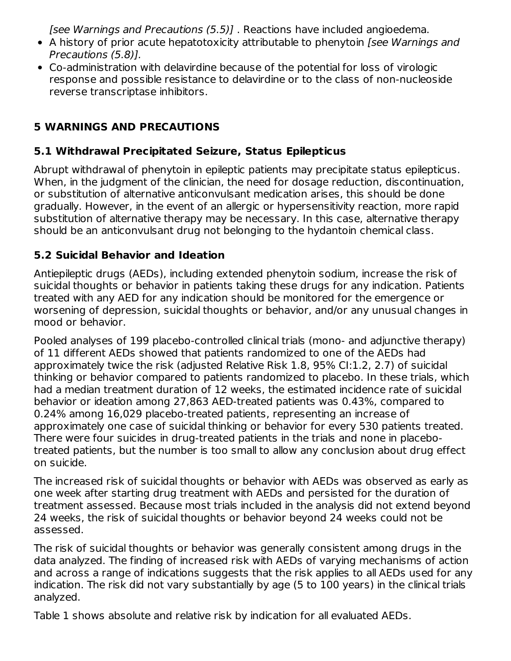[see Warnings and Precautions (5.5)] . Reactions have included angioedema.

- A history of prior acute hepatotoxicity attributable to phenytoin [see Warnings and Precautions (5.8)].
- Co-administration with delavirdine because of the potential for loss of virologic response and possible resistance to delavirdine or to the class of non-nucleoside reverse transcriptase inhibitors.

# **5 WARNINGS AND PRECAUTIONS**

## **5.1 Withdrawal Precipitated Seizure, Status Epilepticus**

Abrupt withdrawal of phenytoin in epileptic patients may precipitate status epilepticus. When, in the judgment of the clinician, the need for dosage reduction, discontinuation, or substitution of alternative anticonvulsant medication arises, this should be done gradually. However, in the event of an allergic or hypersensitivity reaction, more rapid substitution of alternative therapy may be necessary. In this case, alternative therapy should be an anticonvulsant drug not belonging to the hydantoin chemical class.

## **5.2 Suicidal Behavior and Ideation**

Antiepileptic drugs (AEDs), including extended phenytoin sodium, increase the risk of suicidal thoughts or behavior in patients taking these drugs for any indication. Patients treated with any AED for any indication should be monitored for the emergence or worsening of depression, suicidal thoughts or behavior, and/or any unusual changes in mood or behavior.

Pooled analyses of 199 placebo-controlled clinical trials (mono- and adjunctive therapy) of 11 different AEDs showed that patients randomized to one of the AEDs had approximately twice the risk (adjusted Relative Risk 1.8, 95% CI:1.2, 2.7) of suicidal thinking or behavior compared to patients randomized to placebo. In these trials, which had a median treatment duration of 12 weeks, the estimated incidence rate of suicidal behavior or ideation among 27,863 AED-treated patients was 0.43%, compared to 0.24% among 16,029 placebo-treated patients, representing an increase of approximately one case of suicidal thinking or behavior for every 530 patients treated. There were four suicides in drug-treated patients in the trials and none in placebotreated patients, but the number is too small to allow any conclusion about drug effect on suicide.

The increased risk of suicidal thoughts or behavior with AEDs was observed as early as one week after starting drug treatment with AEDs and persisted for the duration of treatment assessed. Because most trials included in the analysis did not extend beyond 24 weeks, the risk of suicidal thoughts or behavior beyond 24 weeks could not be assessed.

The risk of suicidal thoughts or behavior was generally consistent among drugs in the data analyzed. The finding of increased risk with AEDs of varying mechanisms of action and across a range of indications suggests that the risk applies to all AEDs used for any indication. The risk did not vary substantially by age (5 to 100 years) in the clinical trials analyzed.

Table 1 shows absolute and relative risk by indication for all evaluated AEDs.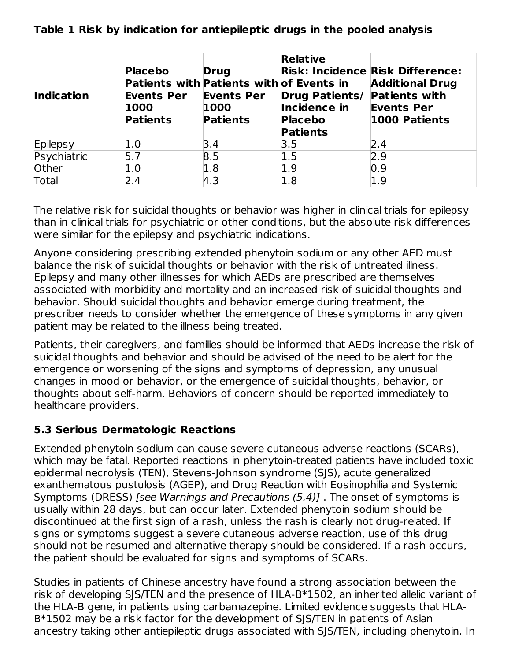**Table 1 Risk by indication for antiepileptic drugs in the pooled analysis**

| <b>Indication</b> | <b>Placebo</b><br>Patients with Patients with of Events in<br><b>Events Per</b><br>1000<br><b>Patients</b> | <b>Drug</b><br><b>Events Per</b><br>1000<br><b>Patients</b> | <b>Relative</b><br><b>Drug Patients/</b><br>Incidence in<br><b>Placebo</b><br><b>Patients</b> | <b>Risk: Incidence Risk Difference:</b><br><b>Additional Drug</b><br><b>Patients with</b><br><b>Events Per</b><br>1000 Patients |
|-------------------|------------------------------------------------------------------------------------------------------------|-------------------------------------------------------------|-----------------------------------------------------------------------------------------------|---------------------------------------------------------------------------------------------------------------------------------|
| Epilepsy          | 1.0                                                                                                        | 3.4                                                         | 3.5                                                                                           | 2.4                                                                                                                             |
| Psychiatric       | 5.7                                                                                                        | 8.5                                                         | 1.5                                                                                           | 2.9                                                                                                                             |
| Other             | 1.0                                                                                                        | 1.8                                                         | 1.9                                                                                           | 0.9                                                                                                                             |
| Total             | 2.4                                                                                                        | 4.3                                                         | 1.8                                                                                           | 1.9                                                                                                                             |

The relative risk for suicidal thoughts or behavior was higher in clinical trials for epilepsy than in clinical trials for psychiatric or other conditions, but the absolute risk differences were similar for the epilepsy and psychiatric indications.

Anyone considering prescribing extended phenytoin sodium or any other AED must balance the risk of suicidal thoughts or behavior with the risk of untreated illness. Epilepsy and many other illnesses for which AEDs are prescribed are themselves associated with morbidity and mortality and an increased risk of suicidal thoughts and behavior. Should suicidal thoughts and behavior emerge during treatment, the prescriber needs to consider whether the emergence of these symptoms in any given patient may be related to the illness being treated.

Patients, their caregivers, and families should be informed that AEDs increase the risk of suicidal thoughts and behavior and should be advised of the need to be alert for the emergence or worsening of the signs and symptoms of depression, any unusual changes in mood or behavior, or the emergence of suicidal thoughts, behavior, or thoughts about self-harm. Behaviors of concern should be reported immediately to healthcare providers.

## **5.3 Serious Dermatologic Reactions**

Extended phenytoin sodium can cause severe cutaneous adverse reactions (SCARs), which may be fatal. Reported reactions in phenytoin-treated patients have included toxic epidermal necrolysis (TEN), Stevens-Johnson syndrome (SJS), acute generalized exanthematous pustulosis (AGEP), and Drug Reaction with Eosinophilia and Systemic Symptoms (DRESS) [see Warnings and Precautions (5.4)]. The onset of symptoms is usually within 28 days, but can occur later. Extended phenytoin sodium should be discontinued at the first sign of a rash, unless the rash is clearly not drug-related. If signs or symptoms suggest a severe cutaneous adverse reaction, use of this drug should not be resumed and alternative therapy should be considered. If a rash occurs, the patient should be evaluated for signs and symptoms of SCARs.

Studies in patients of Chinese ancestry have found a strong association between the risk of developing SJS/TEN and the presence of HLA-B\*1502, an inherited allelic variant of the HLA-B gene, in patients using carbamazepine. Limited evidence suggests that HLA-B\*1502 may be a risk factor for the development of SJS/TEN in patients of Asian ancestry taking other antiepileptic drugs associated with SJS/TEN, including phenytoin. In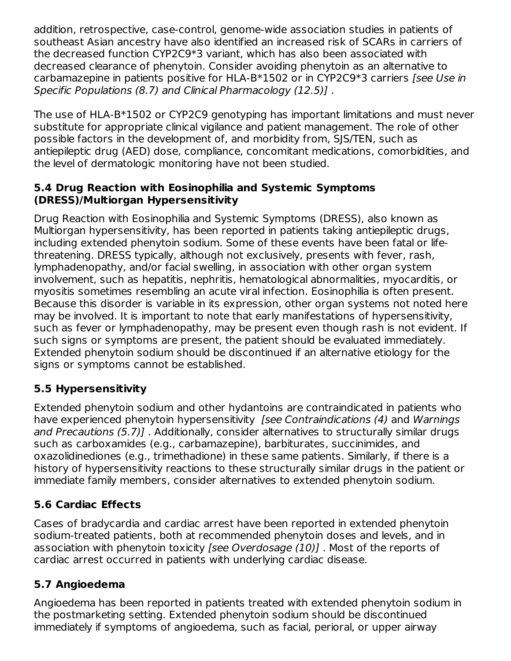addition, retrospective, case-control, genome-wide association studies in patients of southeast Asian ancestry have also identified an increased risk of SCARs in carriers of the decreased function CYP2C9\*3 variant, which has also been associated with decreased clearance of phenytoin. Consider avoiding phenytoin as an alternative to carbamazepine in patients positive for HLA-B\*1502 or in CYP2C9\*3 carriers [see Use in Specific Populations (8.7) and Clinical Pharmacology (12.5)] .

The use of HLA-B\*1502 or CYP2C9 genotyping has important limitations and must never substitute for appropriate clinical vigilance and patient management. The role of other possible factors in the development of, and morbidity from, SJS/TEN, such as antiepileptic drug (AED) dose, compliance, concomitant medications, comorbidities, and the level of dermatologic monitoring have not been studied.

#### **5.4 Drug Reaction with Eosinophilia and Systemic Symptoms (DRESS)/Multiorgan Hypersensitivity**

Drug Reaction with Eosinophilia and Systemic Symptoms (DRESS), also known as Multiorgan hypersensitivity, has been reported in patients taking antiepileptic drugs, including extended phenytoin sodium. Some of these events have been fatal or lifethreatening. DRESS typically, although not exclusively, presents with fever, rash, lymphadenopathy, and/or facial swelling, in association with other organ system involvement, such as hepatitis, nephritis, hematological abnormalities, myocarditis, or myositis sometimes resembling an acute viral infection. Eosinophilia is often present. Because this disorder is variable in its expression, other organ systems not noted here may be involved. It is important to note that early manifestations of hypersensitivity, such as fever or lymphadenopathy, may be present even though rash is not evident. If such signs or symptoms are present, the patient should be evaluated immediately. Extended phenytoin sodium should be discontinued if an alternative etiology for the signs or symptoms cannot be established.

## **5.5 Hypersensitivity**

Extended phenytoin sodium and other hydantoins are contraindicated in patients who have experienced phenytoin hypersensitivity *[see Contraindications (4)* and *Warnings* and Precautions (5.7)] . Additionally, consider alternatives to structurally similar drugs such as carboxamides (e.g., carbamazepine), barbiturates, succinimides, and oxazolidinediones (e.g., trimethadione) in these same patients. Similarly, if there is a history of hypersensitivity reactions to these structurally similar drugs in the patient or immediate family members, consider alternatives to extended phenytoin sodium.

## **5.6 Cardiac Effects**

Cases of bradycardia and cardiac arrest have been reported in extended phenytoin sodium-treated patients, both at recommended phenytoin doses and levels, and in association with phenytoin toxicity [see Overdosage (10)]. Most of the reports of cardiac arrest occurred in patients with underlying cardiac disease.

## **5.7 Angioedema**

Angioedema has been reported in patients treated with extended phenytoin sodium in the postmarketing setting. Extended phenytoin sodium should be discontinued immediately if symptoms of angioedema, such as facial, perioral, or upper airway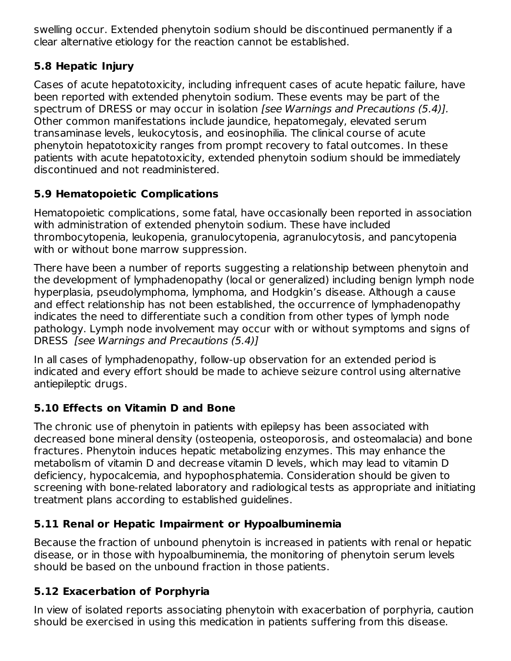swelling occur. Extended phenytoin sodium should be discontinued permanently if a clear alternative etiology for the reaction cannot be established.

## **5.8 Hepatic Injury**

Cases of acute hepatotoxicity, including infrequent cases of acute hepatic failure, have been reported with extended phenytoin sodium. These events may be part of the spectrum of DRESS or may occur in isolation [see Warnings and Precautions (5.4)]. Other common manifestations include jaundice, hepatomegaly, elevated serum transaminase levels, leukocytosis, and eosinophilia. The clinical course of acute phenytoin hepatotoxicity ranges from prompt recovery to fatal outcomes. In these patients with acute hepatotoxicity, extended phenytoin sodium should be immediately discontinued and not readministered.

# **5.9 Hematopoietic Complications**

Hematopoietic complications, some fatal, have occasionally been reported in association with administration of extended phenytoin sodium. These have included thrombocytopenia, leukopenia, granulocytopenia, agranulocytosis, and pancytopenia with or without bone marrow suppression.

There have been a number of reports suggesting a relationship between phenytoin and the development of lymphadenopathy (local or generalized) including benign lymph node hyperplasia, pseudolymphoma, lymphoma, and Hodgkin's disease. Although a cause and effect relationship has not been established, the occurrence of lymphadenopathy indicates the need to differentiate such a condition from other types of lymph node pathology. Lymph node involvement may occur with or without symptoms and signs of DRESS [see Warnings and Precautions (5.4)]

In all cases of lymphadenopathy, follow-up observation for an extended period is indicated and every effort should be made to achieve seizure control using alternative antiepileptic drugs.

## **5.10 Effects on Vitamin D and Bone**

The chronic use of phenytoin in patients with epilepsy has been associated with decreased bone mineral density (osteopenia, osteoporosis, and osteomalacia) and bone fractures. Phenytoin induces hepatic metabolizing enzymes. This may enhance the metabolism of vitamin D and decrease vitamin D levels, which may lead to vitamin D deficiency, hypocalcemia, and hypophosphatemia. Consideration should be given to screening with bone-related laboratory and radiological tests as appropriate and initiating treatment plans according to established guidelines.

## **5.11 Renal or Hepatic Impairment or Hypoalbuminemia**

Because the fraction of unbound phenytoin is increased in patients with renal or hepatic disease, or in those with hypoalbuminemia, the monitoring of phenytoin serum levels should be based on the unbound fraction in those patients.

#### **5.12 Exacerbation of Porphyria**

In view of isolated reports associating phenytoin with exacerbation of porphyria, caution should be exercised in using this medication in patients suffering from this disease.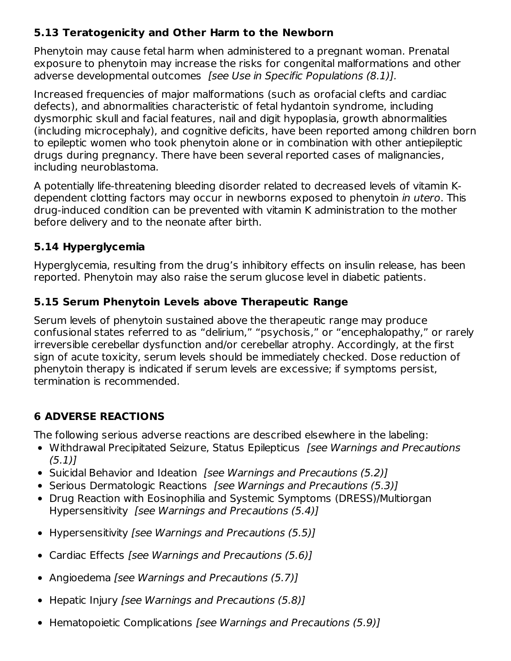## **5.13 Teratogenicity and Other Harm to the Newborn**

Phenytoin may cause fetal harm when administered to a pregnant woman. Prenatal exposure to phenytoin may increase the risks for congenital malformations and other adverse developmental outcomes [see Use in Specific Populations (8.1)].

Increased frequencies of major malformations (such as orofacial clefts and cardiac defects), and abnormalities characteristic of fetal hydantoin syndrome, including dysmorphic skull and facial features, nail and digit hypoplasia, growth abnormalities (including microcephaly), and cognitive deficits, have been reported among children born to epileptic women who took phenytoin alone or in combination with other antiepileptic drugs during pregnancy. There have been several reported cases of malignancies, including neuroblastoma.

A potentially life-threatening bleeding disorder related to decreased levels of vitamin Kdependent clotting factors may occur in newborns exposed to phenytoin in utero. This drug-induced condition can be prevented with vitamin K administration to the mother before delivery and to the neonate after birth.

## **5.14 Hyperglycemia**

Hyperglycemia, resulting from the drug's inhibitory effects on insulin release, has been reported. Phenytoin may also raise the serum glucose level in diabetic patients.

## **5.15 Serum Phenytoin Levels above Therapeutic Range**

Serum levels of phenytoin sustained above the therapeutic range may produce confusional states referred to as "delirium," "psychosis," or "encephalopathy," or rarely irreversible cerebellar dysfunction and/or cerebellar atrophy. Accordingly, at the first sign of acute toxicity, serum levels should be immediately checked. Dose reduction of phenytoin therapy is indicated if serum levels are excessive; if symptoms persist, termination is recommended.

## **6 ADVERSE REACTIONS**

The following serious adverse reactions are described elsewhere in the labeling:

- Withdrawal Precipitated Seizure, Status Epilepticus *[see Warnings and Precautions*  $(5.1)1$
- Suicidal Behavior and Ideation *[see Warnings and Precautions (5.2)]*
- Serious Dermatologic Reactions [see Warnings and Precautions (5.3)]
- Drug Reaction with Eosinophilia and Systemic Symptoms (DRESS)/Multiorgan Hypersensitivity [see Warnings and Precautions (5.4)]
- Hypersensitivity [see Warnings and Precautions (5.5)]
- Cardiac Effects [see Warnings and Precautions (5.6)]
- Angioedema [see Warnings and Precautions (5.7)]
- Hepatic Injury [see Warnings and Precautions (5.8)]
- Hematopoietic Complications [see Warnings and Precautions (5.9)]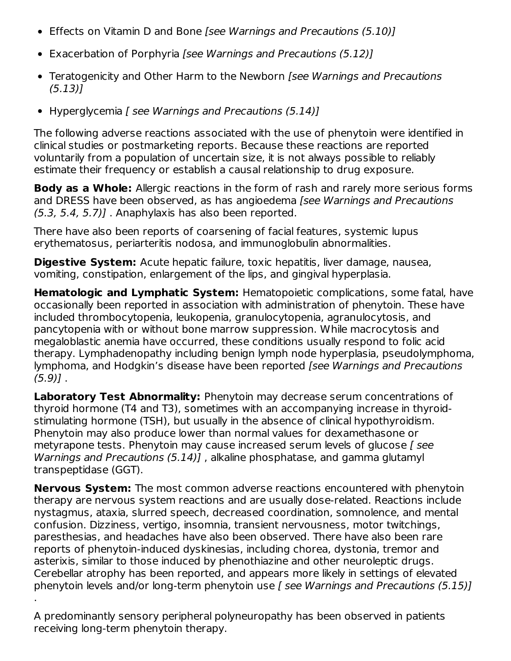- Effects on Vitamin D and Bone [see Warnings and Precautions (5.10)]
- Exacerbation of Porphyria [see Warnings and Precautions (5.12)]
- Teratogenicity and Other Harm to the Newborn [see Warnings and Precautions (5.13)]
- Hyperglycemia [ see Warnings and Precautions (5.14)]

The following adverse reactions associated with the use of phenytoin were identified in clinical studies or postmarketing reports. Because these reactions are reported voluntarily from a population of uncertain size, it is not always possible to reliably estimate their frequency or establish a causal relationship to drug exposure.

**Body as a Whole:** Allergic reactions in the form of rash and rarely more serious forms and DRESS have been observed, as has angioedema [see Warnings and Precautions  $(5.3, 5.4, 5.7)$ ]. Anaphylaxis has also been reported.

There have also been reports of coarsening of facial features, systemic lupus erythematosus, periarteritis nodosa, and immunoglobulin abnormalities.

**Digestive System:** Acute hepatic failure, toxic hepatitis, liver damage, nausea, vomiting, constipation, enlargement of the lips, and gingival hyperplasia.

**Hematologic and Lymphatic System:** Hematopoietic complications, some fatal, have occasionally been reported in association with administration of phenytoin. These have included thrombocytopenia, leukopenia, granulocytopenia, agranulocytosis, and pancytopenia with or without bone marrow suppression. While macrocytosis and megaloblastic anemia have occurred, these conditions usually respond to folic acid therapy. Lymphadenopathy including benign lymph node hyperplasia, pseudolymphoma, lymphoma, and Hodgkin's disease have been reported [see Warnings and Precautions  $(5.9)$ ].

**Laboratory Test Abnormality:** Phenytoin may decrease serum concentrations of thyroid hormone (T4 and T3), sometimes with an accompanying increase in thyroidstimulating hormone (TSH), but usually in the absence of clinical hypothyroidism. Phenytoin may also produce lower than normal values for dexamethasone or metyrapone tests. Phenytoin may cause increased serum levels of glucose [ see Warnings and Precautions (5.14)], alkaline phosphatase, and gamma glutamyl transpeptidase (GGT).

**Nervous System:** The most common adverse reactions encountered with phenytoin therapy are nervous system reactions and are usually dose-related. Reactions include nystagmus, ataxia, slurred speech, decreased coordination, somnolence, and mental confusion. Dizziness, vertigo, insomnia, transient nervousness, motor twitchings, paresthesias, and headaches have also been observed. There have also been rare reports of phenytoin-induced dyskinesias, including chorea, dystonia, tremor and asterixis, similar to those induced by phenothiazine and other neuroleptic drugs. Cerebellar atrophy has been reported, and appears more likely in settings of elevated phenytoin levels and/or long-term phenytoin use [ see Warnings and Precautions (5.15)] .

A predominantly sensory peripheral polyneuropathy has been observed in patients receiving long-term phenytoin therapy.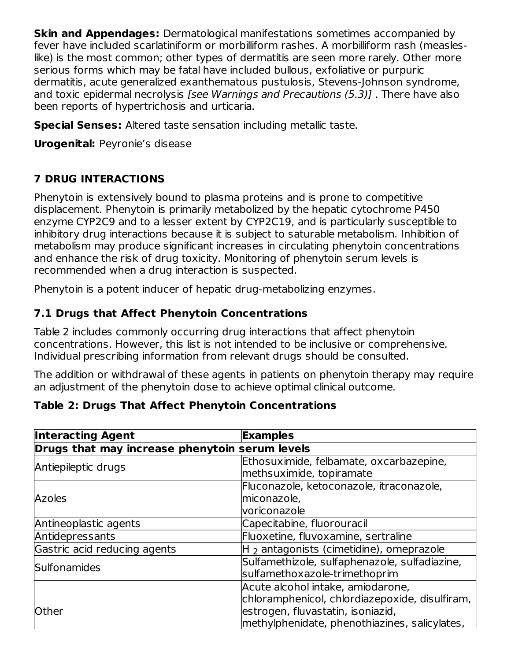**Skin and Appendages:** Dermatological manifestations sometimes accompanied by fever have included scarlatiniform or morbilliform rashes. A morbilliform rash (measleslike) is the most common; other types of dermatitis are seen more rarely. Other more serious forms which may be fatal have included bullous, exfoliative or purpuric dermatitis, acute generalized exanthematous pustulosis, Stevens-Johnson syndrome, and toxic epidermal necrolysis [see Warnings and Precautions (5.3)] . There have also been reports of hypertrichosis and urticaria.

**Special Senses:** Altered taste sensation including metallic taste.

**Urogenital:** Peyronie's disease

# **7 DRUG INTERACTIONS**

Phenytoin is extensively bound to plasma proteins and is prone to competitive displacement. Phenytoin is primarily metabolized by the hepatic cytochrome P450 enzyme CYP2C9 and to a lesser extent by CYP2C19, and is particularly susceptible to inhibitory drug interactions because it is subject to saturable metabolism. Inhibition of metabolism may produce significant increases in circulating phenytoin concentrations and enhance the risk of drug toxicity. Monitoring of phenytoin serum levels is recommended when a drug interaction is suspected.

Phenytoin is a potent inducer of hepatic drug-metabolizing enzymes.

# **7.1 Drugs that Affect Phenytoin Concentrations**

Table 2 includes commonly occurring drug interactions that affect phenytoin concentrations. However, this list is not intended to be inclusive or comprehensive. Individual prescribing information from relevant drugs should be consulted.

The addition or withdrawal of these agents in patients on phenytoin therapy may require an adjustment of the phenytoin dose to achieve optimal clinical outcome.

## **Table 2: Drugs That Affect Phenytoin Concentrations**

| <b>Interacting Agent</b>                       | <b>Examples</b>                                                                                                                                                           |  |  |  |
|------------------------------------------------|---------------------------------------------------------------------------------------------------------------------------------------------------------------------------|--|--|--|
| Drugs that may increase phenytoin serum levels |                                                                                                                                                                           |  |  |  |
| Antiepileptic drugs                            | Ethosuximide, felbamate, oxcarbazepine,<br>methsuximide, topiramate                                                                                                       |  |  |  |
| Azoles                                         | Fluconazole, ketoconazole, itraconazole,<br>miconazole,<br>voriconazole                                                                                                   |  |  |  |
| Antineoplastic agents                          | Capecitabine, fluorouracil                                                                                                                                                |  |  |  |
| Antidepressants                                | Fluoxetine, fluvoxamine, sertraline                                                                                                                                       |  |  |  |
| Gastric acid reducing agents                   | $H_2$ antagonists (cimetidine), omeprazole                                                                                                                                |  |  |  |
| Sulfonamides                                   | Sulfamethizole, sulfaphenazole, sulfadiazine,<br>sulfamethoxazole-trimethoprim                                                                                            |  |  |  |
| <b>Other</b>                                   | Acute alcohol intake, amiodarone,<br>chloramphenicol, chlordiazepoxide, disulfiram,<br>estrogen, fluvastatin, isoniazid,<br>methylphenidate, phenothiazines, salicylates, |  |  |  |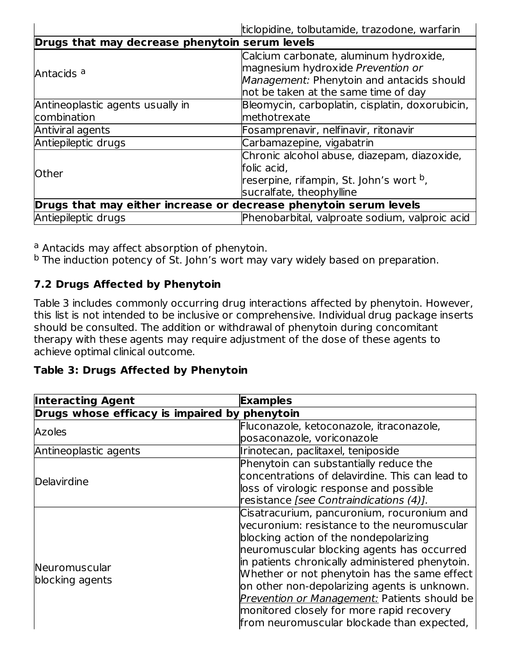| ticlopidine, tolbutamide, trazodone, warfarin                     |                                                                                                                                                                  |  |  |  |
|-------------------------------------------------------------------|------------------------------------------------------------------------------------------------------------------------------------------------------------------|--|--|--|
| Drugs that may decrease phenytoin serum levels                    |                                                                                                                                                                  |  |  |  |
| Antacids <sup>a</sup>                                             | Calcium carbonate, aluminum hydroxide,<br>magnesium hydroxide Prevention or<br>Management: Phenytoin and antacids should<br>not be taken at the same time of day |  |  |  |
| Antineoplastic agents usually in<br>combination                   | Bleomycin, carboplatin, cisplatin, doxorubicin,<br>methotrexate                                                                                                  |  |  |  |
| Antiviral agents                                                  | Fosamprenavir, nelfinavir, ritonavir                                                                                                                             |  |  |  |
| Antiepileptic drugs                                               | Carbamazepine, vigabatrin                                                                                                                                        |  |  |  |
| <b>Other</b>                                                      | Chronic alcohol abuse, diazepam, diazoxide,<br>folic acid,<br>reserpine, rifampin, St. John's wort <sup>b</sup> ,<br>sucralfate, theophylline                    |  |  |  |
| Drugs that may either increase or decrease phenytoin serum levels |                                                                                                                                                                  |  |  |  |
| Antiepileptic drugs                                               | Phenobarbital, valproate sodium, valproic acid                                                                                                                   |  |  |  |

<sup>a</sup> Antacids may affect absorption of phenytoin.

<sup>b</sup> The induction potency of St. John's wort may vary widely based on preparation.

## **7.2 Drugs Affected by Phenytoin**

Table 3 includes commonly occurring drug interactions affected by phenytoin. However, this list is not intended to be inclusive or comprehensive. Individual drug package inserts should be consulted. The addition or withdrawal of phenytoin during concomitant therapy with these agents may require adjustment of the dose of these agents to achieve optimal clinical outcome.

#### **Table 3: Drugs Affected by Phenytoin**

| <b>Examples</b>                                 |
|-------------------------------------------------|
| Drugs whose efficacy is impaired by phenytoin   |
| Fluconazole, ketoconazole, itraconazole,        |
| posaconazole, voriconazole                      |
| Irinotecan, paclitaxel, teniposide              |
| Phenytoin can substantially reduce the          |
| concentrations of delavirdine. This can lead to |
| loss of virologic response and possible         |
| resistance [see Contraindications (4)].         |
| Cisatracurium, pancuronium, rocuronium and      |
| vecuronium: resistance to the neuromuscular     |
| blocking action of the nondepolarizing          |
| neuromuscular blocking agents has occurred      |
| in patients chronically administered phenytoin. |
| Whether or not phenytoin has the same effect    |
| on other non-depolarizing agents is unknown.    |
| Prevention or Management: Patients should be    |
| monitored closely for more rapid recovery       |
| from neuromuscular blockade than expected,      |
|                                                 |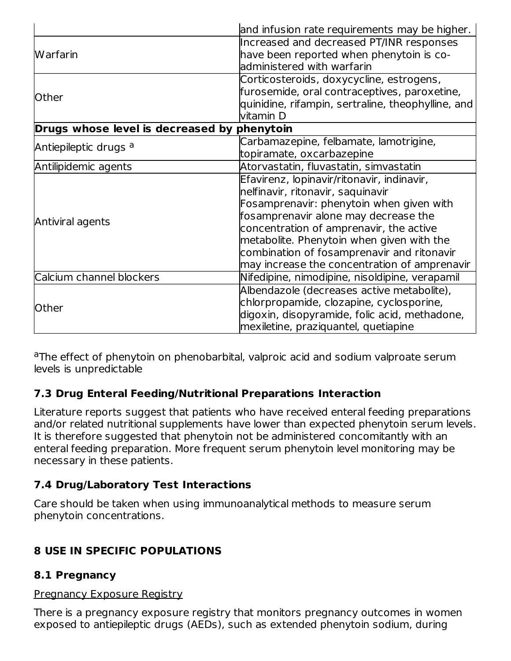|                                                                | and infusion rate requirements may be higher.      |  |  |
|----------------------------------------------------------------|----------------------------------------------------|--|--|
|                                                                | Increased and decreased PT/INR responses           |  |  |
| <b>Warfarin</b>                                                | have been reported when phenytoin is co-           |  |  |
|                                                                | administered with warfarin                         |  |  |
|                                                                | Corticosteroids, doxycycline, estrogens,           |  |  |
| <b>Other</b>                                                   | furosemide, oral contraceptives, paroxetine,       |  |  |
|                                                                | quinidine, rifampin, sertraline, theophylline, and |  |  |
|                                                                | vitamin D                                          |  |  |
| Drugs whose level is decreased by phenytoin                    |                                                    |  |  |
| Antiepileptic drugs <sup>a</sup>                               | Carbamazepine, felbamate, lamotrigine,             |  |  |
|                                                                | topiramate, oxcarbazepine                          |  |  |
| Antilipidemic agents<br>Atorvastatin, fluvastatin, simvastatin |                                                    |  |  |
|                                                                | Efavirenz, lopinavir/ritonavir, indinavir,         |  |  |
|                                                                | nelfinavir, ritonavir, saquinavir                  |  |  |
|                                                                | Fosamprenavir: phenytoin when given with           |  |  |
| Antiviral agents                                               | fosamprenavir alone may decrease the               |  |  |
|                                                                | concentration of amprenavir, the active            |  |  |
|                                                                | metabolite. Phenytoin when given with the          |  |  |
|                                                                | combination of fosamprenavir and ritonavir         |  |  |
|                                                                | may increase the concentration of amprenavir       |  |  |
| Calcium channel blockers                                       | Nifedipine, nimodipine, nisoldipine, verapamil     |  |  |
|                                                                | Albendazole (decreases active metabolite),         |  |  |
| <b>Other</b>                                                   | chlorpropamide, clozapine, cyclosporine,           |  |  |
|                                                                | digoxin, disopyramide, folic acid, methadone,      |  |  |
|                                                                | mexiletine, praziquantel, quetiapine               |  |  |

<sup>a</sup>The effect of phenytoin on phenobarbital, valproic acid and sodium valproate serum levels is unpredictable

## **7.3 Drug Enteral Feeding/Nutritional Preparations Interaction**

Literature reports suggest that patients who have received enteral feeding preparations and/or related nutritional supplements have lower than expected phenytoin serum levels. It is therefore suggested that phenytoin not be administered concomitantly with an enteral feeding preparation. More frequent serum phenytoin level monitoring may be necessary in these patients.

## **7.4 Drug/Laboratory Test Interactions**

Care should be taken when using immunoanalytical methods to measure serum phenytoin concentrations.

## **8 USE IN SPECIFIC POPULATIONS**

#### **8.1 Pregnancy**

# Pregnancy Exposure Registry

There is a pregnancy exposure registry that monitors pregnancy outcomes in women exposed to antiepileptic drugs (AEDs), such as extended phenytoin sodium, during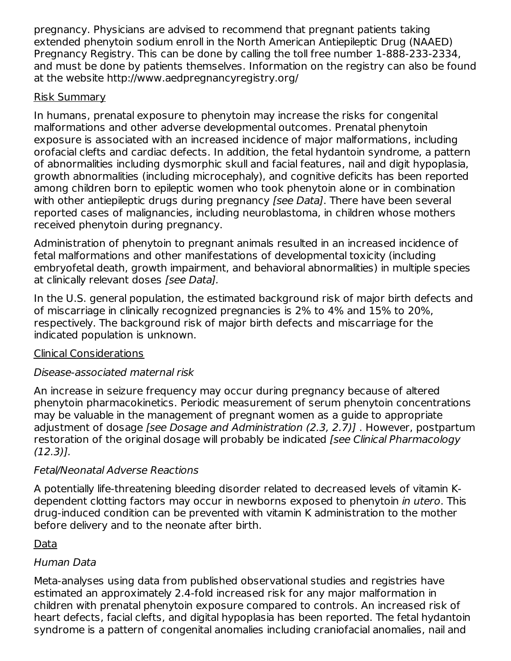pregnancy. Physicians are advised to recommend that pregnant patients taking extended phenytoin sodium enroll in the North American Antiepileptic Drug (NAAED) Pregnancy Registry. This can be done by calling the toll free number 1-888-233-2334, and must be done by patients themselves. Information on the registry can also be found at the website http://www.aedpregnancyregistry.org/

#### Risk Summary

In humans, prenatal exposure to phenytoin may increase the risks for congenital malformations and other adverse developmental outcomes. Prenatal phenytoin exposure is associated with an increased incidence of major malformations, including orofacial clefts and cardiac defects. In addition, the fetal hydantoin syndrome, a pattern of abnormalities including dysmorphic skull and facial features, nail and digit hypoplasia, growth abnormalities (including microcephaly), and cognitive deficits has been reported among children born to epileptic women who took phenytoin alone or in combination with other antiepileptic drugs during pregnancy [see Data]. There have been several reported cases of malignancies, including neuroblastoma, in children whose mothers received phenytoin during pregnancy.

Administration of phenytoin to pregnant animals resulted in an increased incidence of fetal malformations and other manifestations of developmental toxicity (including embryofetal death, growth impairment, and behavioral abnormalities) in multiple species at clinically relevant doses [see Data].

In the U.S. general population, the estimated background risk of major birth defects and of miscarriage in clinically recognized pregnancies is 2% to 4% and 15% to 20%, respectively. The background risk of major birth defects and miscarriage for the indicated population is unknown.

#### Clinical Considerations

## Disease-associated maternal risk

An increase in seizure frequency may occur during pregnancy because of altered phenytoin pharmacokinetics. Periodic measurement of serum phenytoin concentrations may be valuable in the management of pregnant women as a guide to appropriate adjustment of dosage [see Dosage and Administration (2.3, 2.7)] . However, postpartum restoration of the original dosage will probably be indicated [see Clinical Pharmacology (12.3)].

#### Fetal/Neonatal Adverse Reactions

A potentially life-threatening bleeding disorder related to decreased levels of vitamin Kdependent clotting factors may occur in newborns exposed to phenytoin in utero. This drug-induced condition can be prevented with vitamin K administration to the mother before delivery and to the neonate after birth.

## Data

#### Human Data

Meta-analyses using data from published observational studies and registries have estimated an approximately 2.4-fold increased risk for any major malformation in children with prenatal phenytoin exposure compared to controls. An increased risk of heart defects, facial clefts, and digital hypoplasia has been reported. The fetal hydantoin syndrome is a pattern of congenital anomalies including craniofacial anomalies, nail and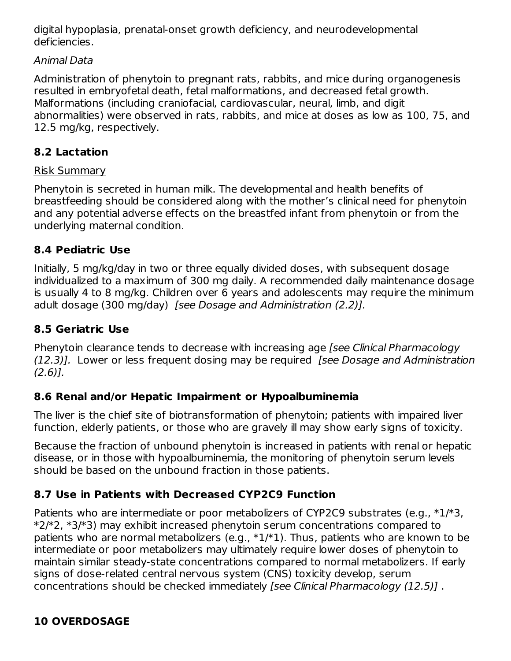digital hypoplasia, prenatal-onset growth deficiency, and neurodevelopmental deficiencies.

#### Animal Data

Administration of phenytoin to pregnant rats, rabbits, and mice during organogenesis resulted in embryofetal death, fetal malformations, and decreased fetal growth. Malformations (including craniofacial, cardiovascular, neural, limb, and digit abnormalities) were observed in rats, rabbits, and mice at doses as low as 100, 75, and 12.5 mg/kg, respectively.

## **8.2 Lactation**

#### Risk Summary

Phenytoin is secreted in human milk. The developmental and health benefits of breastfeeding should be considered along with the mother's clinical need for phenytoin and any potential adverse effects on the breastfed infant from phenytoin or from the underlying maternal condition.

#### **8.4 Pediatric Use**

Initially, 5 mg/kg/day in two or three equally divided doses, with subsequent dosage individualized to a maximum of 300 mg daily. A recommended daily maintenance dosage is usually 4 to 8 mg/kg. Children over 6 years and adolescents may require the minimum adult dosage (300 mg/day) [see Dosage and Administration (2.2)].

## **8.5 Geriatric Use**

Phenytoin clearance tends to decrease with increasing age [see Clinical Pharmacology (12.3)]. Lower or less frequent dosing may be required *[see Dosage and Administration*  $(2.6)$ ].

#### **8.6 Renal and/or Hepatic Impairment or Hypoalbuminemia**

The liver is the chief site of biotransformation of phenytoin; patients with impaired liver function, elderly patients, or those who are gravely ill may show early signs of toxicity.

Because the fraction of unbound phenytoin is increased in patients with renal or hepatic disease, or in those with hypoalbuminemia, the monitoring of phenytoin serum levels should be based on the unbound fraction in those patients.

## **8.7 Use in Patients with Decreased CYP2C9 Function**

Patients who are intermediate or poor metabolizers of CYP2C9 substrates (e.g., \*1/\*3, \*2/\*2, \*3/\*3) may exhibit increased phenytoin serum concentrations compared to patients who are normal metabolizers (e.g.,  $*1/*1$ ). Thus, patients who are known to be intermediate or poor metabolizers may ultimately require lower doses of phenytoin to maintain similar steady-state concentrations compared to normal metabolizers. If early signs of dose-related central nervous system (CNS) toxicity develop, serum concentrations should be checked immediately [see Clinical Pharmacology (12.5)] .

## **10 OVERDOSAGE**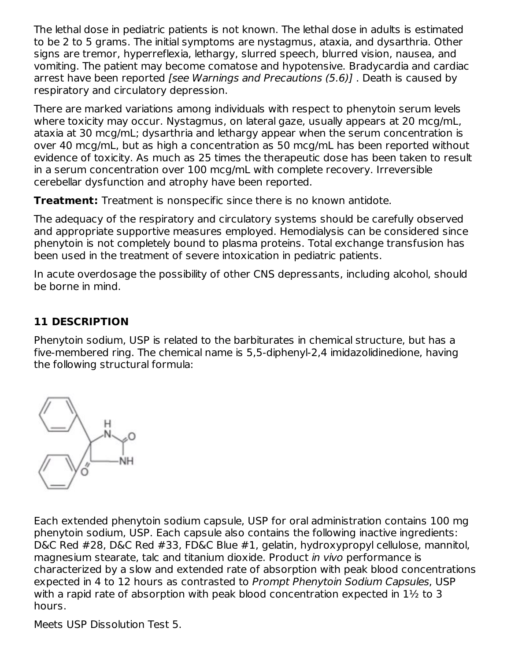The lethal dose in pediatric patients is not known. The lethal dose in adults is estimated to be 2 to 5 grams. The initial symptoms are nystagmus, ataxia, and dysarthria. Other signs are tremor, hyperreflexia, lethargy, slurred speech, blurred vision, nausea, and vomiting. The patient may become comatose and hypotensive. Bradycardia and cardiac arrest have been reported [see Warnings and Precautions (5.6)]. Death is caused by respiratory and circulatory depression.

There are marked variations among individuals with respect to phenytoin serum levels where toxicity may occur. Nystagmus, on lateral gaze, usually appears at 20 mcg/mL, ataxia at 30 mcg/mL; dysarthria and lethargy appear when the serum concentration is over 40 mcg/mL, but as high a concentration as 50 mcg/mL has been reported without evidence of toxicity. As much as 25 times the therapeutic dose has been taken to result in a serum concentration over 100 mcg/mL with complete recovery. Irreversible cerebellar dysfunction and atrophy have been reported.

**Treatment:** Treatment is nonspecific since there is no known antidote.

The adequacy of the respiratory and circulatory systems should be carefully observed and appropriate supportive measures employed. Hemodialysis can be considered since phenytoin is not completely bound to plasma proteins. Total exchange transfusion has been used in the treatment of severe intoxication in pediatric patients.

In acute overdosage the possibility of other CNS depressants, including alcohol, should be borne in mind.

## **11 DESCRIPTION**

Phenytoin sodium, USP is related to the barbiturates in chemical structure, but has a five-membered ring. The chemical name is 5,5-diphenyl-2,4 imidazolidinedione, having the following structural formula:



Each extended phenytoin sodium capsule, USP for oral administration contains 100 mg phenytoin sodium, USP. Each capsule also contains the following inactive ingredients: D&C Red #28, D&C Red #33, FD&C Blue #1, gelatin, hydroxypropyl cellulose, mannitol, magnesium stearate, talc and titanium dioxide. Product in vivo performance is characterized by a slow and extended rate of absorption with peak blood concentrations expected in 4 to 12 hours as contrasted to Prompt Phenytoin Sodium Capsules, USP with a rapid rate of absorption with peak blood concentration expected in 1½ to 3 hours.

Meets USP Dissolution Test 5.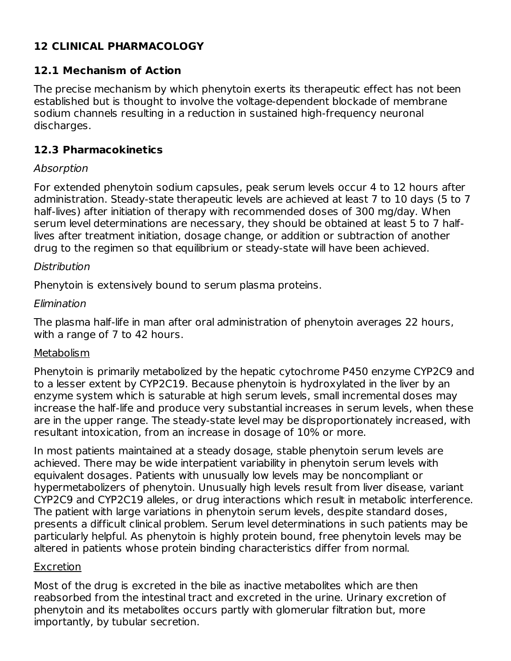## **12 CLINICAL PHARMACOLOGY**

#### **12.1 Mechanism of Action**

The precise mechanism by which phenytoin exerts its therapeutic effect has not been established but is thought to involve the voltage-dependent blockade of membrane sodium channels resulting in a reduction in sustained high-frequency neuronal discharges.

#### **12.3 Pharmacokinetics**

#### Absorption

For extended phenytoin sodium capsules, peak serum levels occur 4 to 12 hours after administration. Steady-state therapeutic levels are achieved at least 7 to 10 days (5 to 7 half-lives) after initiation of therapy with recommended doses of 300 mg/day. When serum level determinations are necessary, they should be obtained at least 5 to 7 halflives after treatment initiation, dosage change, or addition or subtraction of another drug to the regimen so that equilibrium or steady-state will have been achieved.

#### Distribution

Phenytoin is extensively bound to serum plasma proteins.

#### Elimination

The plasma half-life in man after oral administration of phenytoin averages 22 hours, with a range of 7 to 42 hours.

#### Metabolism

Phenytoin is primarily metabolized by the hepatic cytochrome P450 enzyme CYP2C9 and to a lesser extent by CYP2C19. Because phenytoin is hydroxylated in the liver by an enzyme system which is saturable at high serum levels, small incremental doses may increase the half-life and produce very substantial increases in serum levels, when these are in the upper range. The steady-state level may be disproportionately increased, with resultant intoxication, from an increase in dosage of 10% or more.

In most patients maintained at a steady dosage, stable phenytoin serum levels are achieved. There may be wide interpatient variability in phenytoin serum levels with equivalent dosages. Patients with unusually low levels may be noncompliant or hypermetabolizers of phenytoin. Unusually high levels result from liver disease, variant CYP2C9 and CYP2C19 alleles, or drug interactions which result in metabolic interference. The patient with large variations in phenytoin serum levels, despite standard doses, presents a difficult clinical problem. Serum level determinations in such patients may be particularly helpful. As phenytoin is highly protein bound, free phenytoin levels may be altered in patients whose protein binding characteristics differ from normal.

#### Excretion

Most of the drug is excreted in the bile as inactive metabolites which are then reabsorbed from the intestinal tract and excreted in the urine. Urinary excretion of phenytoin and its metabolites occurs partly with glomerular filtration but, more importantly, by tubular secretion.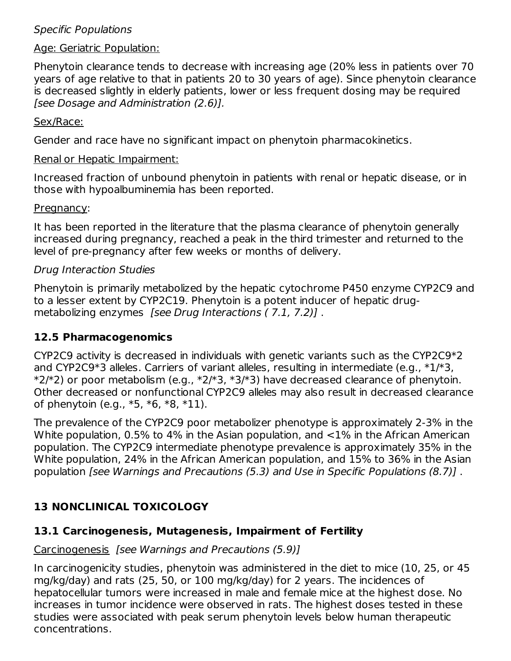#### Specific Populations

#### Age: Geriatric Population:

Phenytoin clearance tends to decrease with increasing age (20% less in patients over 70 years of age relative to that in patients 20 to 30 years of age). Since phenytoin clearance is decreased slightly in elderly patients, lower or less frequent dosing may be required [see Dosage and Administration (2.6)].

#### Sex/Race:

Gender and race have no significant impact on phenytoin pharmacokinetics.

#### Renal or Hepatic Impairment:

Increased fraction of unbound phenytoin in patients with renal or hepatic disease, or in those with hypoalbuminemia has been reported.

#### Pregnancy:

It has been reported in the literature that the plasma clearance of phenytoin generally increased during pregnancy, reached a peak in the third trimester and returned to the level of pre-pregnancy after few weeks or months of delivery.

#### Drug Interaction Studies

Phenytoin is primarily metabolized by the hepatic cytochrome P450 enzyme CYP2C9 and to a lesser extent by CYP2C19. Phenytoin is a potent inducer of hepatic drugmetabolizing enzymes [see Drug Interactions (7.1, 7.2)].

#### **12.5 Pharmacogenomics**

CYP2C9 activity is decreased in individuals with genetic variants such as the CYP2C9\*2 and CYP2C9\*3 alleles. Carriers of variant alleles, resulting in intermediate (e.g., \*1/\*3,  $*2/*2$ ) or poor metabolism (e.g.,  $*2/*3$ ,  $*3/*3$ ) have decreased clearance of phenytoin. Other decreased or nonfunctional CYP2C9 alleles may also result in decreased clearance of phenytoin (e.g., \*5, \*6, \*8, \*11).

The prevalence of the CYP2C9 poor metabolizer phenotype is approximately 2-3% in the White population, 0.5% to 4% in the Asian population, and <1% in the African American population. The CYP2C9 intermediate phenotype prevalence is approximately 35% in the White population, 24% in the African American population, and 15% to 36% in the Asian population [see Warnings and Precautions (5.3) and Use in Specific Populations (8.7)] .

#### **13 NONCLINICAL TOXICOLOGY**

#### **13.1 Carcinogenesis, Mutagenesis, Impairment of Fertility**

#### Carcinogenesis [see Warnings and Precautions (5.9)]

In carcinogenicity studies, phenytoin was administered in the diet to mice (10, 25, or 45 mg/kg/day) and rats (25, 50, or 100 mg/kg/day) for 2 years. The incidences of hepatocellular tumors were increased in male and female mice at the highest dose. No increases in tumor incidence were observed in rats. The highest doses tested in these studies were associated with peak serum phenytoin levels below human therapeutic concentrations.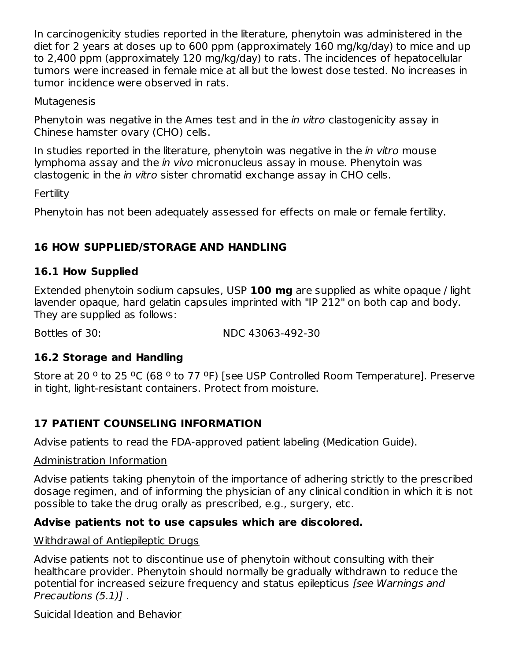In carcinogenicity studies reported in the literature, phenytoin was administered in the diet for 2 years at doses up to 600 ppm (approximately 160 mg/kg/day) to mice and up to 2,400 ppm (approximately 120 mg/kg/day) to rats. The incidences of hepatocellular tumors were increased in female mice at all but the lowest dose tested. No increases in tumor incidence were observed in rats.

#### Mutagenesis

Phenytoin was negative in the Ames test and in the *in vitro* clastogenicity assay in Chinese hamster ovary (CHO) cells.

In studies reported in the literature, phenytoin was negative in the *in vitro* mouse lymphoma assay and the in vivo micronucleus assay in mouse. Phenytoin was clastogenic in the in vitro sister chromatid exchange assay in CHO cells.

Fertility

Phenytoin has not been adequately assessed for effects on male or female fertility.

## **16 HOW SUPPLIED/STORAGE AND HANDLING**

#### **16.1 How Supplied**

Extended phenytoin sodium capsules, USP **100 mg** are supplied as white opaque / light lavender opaque, hard gelatin capsules imprinted with "IP 212" on both cap and body. They are supplied as follows:

Bottles of 30: NDC 43063-492-30

#### **16.2 Storage and Handling**

Store at 20 <sup>o</sup> to 25 °C (68 ° to 77 °F) [see USP Controlled Room Temperature]. Preserve in tight, light-resistant containers. Protect from moisture.

## **17 PATIENT COUNSELING INFORMATION**

Advise patients to read the FDA-approved patient labeling (Medication Guide).

#### Administration Information

Advise patients taking phenytoin of the importance of adhering strictly to the prescribed dosage regimen, and of informing the physician of any clinical condition in which it is not possible to take the drug orally as prescribed, e.g., surgery, etc.

#### **Advise patients not to use capsules which are discolored.**

Withdrawal of Antiepileptic Drugs

Advise patients not to discontinue use of phenytoin without consulting with their healthcare provider. Phenytoin should normally be gradually withdrawn to reduce the potential for increased seizure frequency and status epilepticus [see Warnings and Precautions (5.1)] .

Suicidal Ideation and Behavior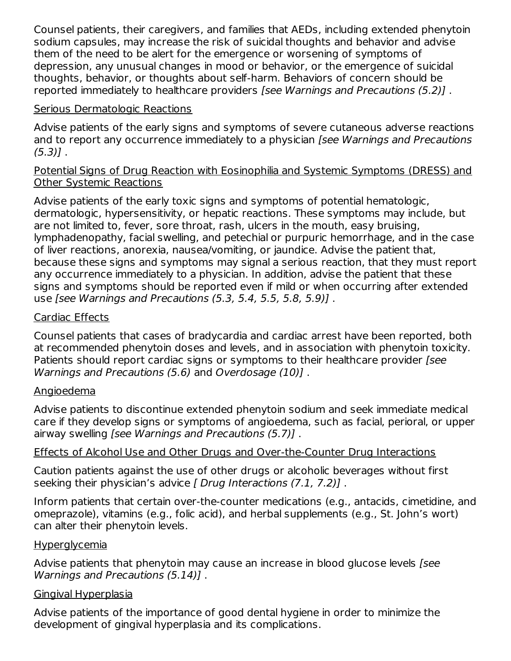Counsel patients, their caregivers, and families that AEDs, including extended phenytoin sodium capsules, may increase the risk of suicidal thoughts and behavior and advise them of the need to be alert for the emergence or worsening of symptoms of depression, any unusual changes in mood or behavior, or the emergence of suicidal thoughts, behavior, or thoughts about self-harm. Behaviors of concern should be reported immediately to healthcare providers [see Warnings and Precautions (5.2)] .

#### Serious Dermatologic Reactions

Advise patients of the early signs and symptoms of severe cutaneous adverse reactions and to report any occurrence immediately to a physician *[see Warnings and Precautions*  $(5.3)$ ].

#### Potential Signs of Drug Reaction with Eosinophilia and Systemic Symptoms (DRESS) and Other Systemic Reactions

Advise patients of the early toxic signs and symptoms of potential hematologic, dermatologic, hypersensitivity, or hepatic reactions. These symptoms may include, but are not limited to, fever, sore throat, rash, ulcers in the mouth, easy bruising, lymphadenopathy, facial swelling, and petechial or purpuric hemorrhage, and in the case of liver reactions, anorexia, nausea/vomiting, or jaundice. Advise the patient that, because these signs and symptoms may signal a serious reaction, that they must report any occurrence immediately to a physician. In addition, advise the patient that these signs and symptoms should be reported even if mild or when occurring after extended use [see Warnings and Precautions (5.3, 5.4, 5.5, 5.8, 5.9)] .

#### Cardiac Effects

Counsel patients that cases of bradycardia and cardiac arrest have been reported, both at recommended phenytoin doses and levels, and in association with phenytoin toxicity. Patients should report cardiac signs or symptoms to their healthcare provider [see Warnings and Precautions (5.6) and Overdosage (10)] .

#### Angioedema

Advise patients to discontinue extended phenytoin sodium and seek immediate medical care if they develop signs or symptoms of angioedema, such as facial, perioral, or upper airway swelling [see Warnings and Precautions (5.7)] .

#### Effects of Alcohol Use and Other Drugs and Over-the-Counter Drug Interactions

Caution patients against the use of other drugs or alcoholic beverages without first seeking their physician's advice [ Drug Interactions (7.1, 7.2)].

Inform patients that certain over-the-counter medications (e.g., antacids, cimetidine, and omeprazole), vitamins (e.g., folic acid), and herbal supplements (e.g., St. John's wort) can alter their phenytoin levels.

#### **Hyperglycemia**

Advise patients that phenytoin may cause an increase in blood glucose levels [see Warnings and Precautions (5.14)] .

#### Gingival Hyperplasia

Advise patients of the importance of good dental hygiene in order to minimize the development of gingival hyperplasia and its complications.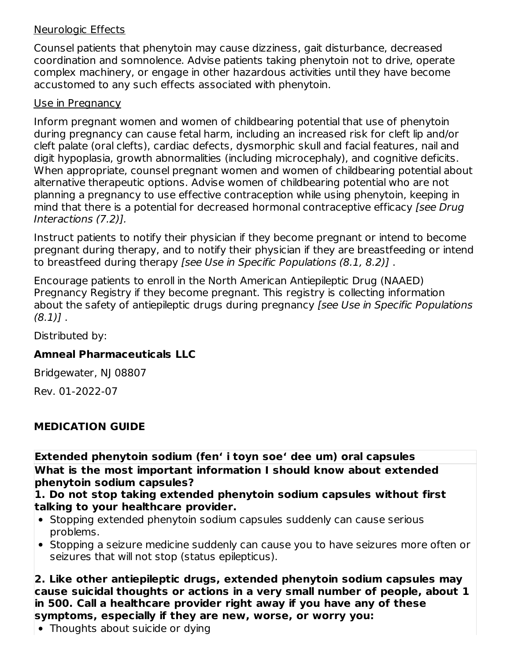#### Neurologic Effects

Counsel patients that phenytoin may cause dizziness, gait disturbance, decreased coordination and somnolence. Advise patients taking phenytoin not to drive, operate complex machinery, or engage in other hazardous activities until they have become accustomed to any such effects associated with phenytoin.

#### Use in Pregnancy

Inform pregnant women and women of childbearing potential that use of phenytoin during pregnancy can cause fetal harm, including an increased risk for cleft lip and/or cleft palate (oral clefts), cardiac defects, dysmorphic skull and facial features, nail and digit hypoplasia, growth abnormalities (including microcephaly), and cognitive deficits. When appropriate, counsel pregnant women and women of childbearing potential about alternative therapeutic options. Advise women of childbearing potential who are not planning a pregnancy to use effective contraception while using phenytoin, keeping in mind that there is a potential for decreased hormonal contraceptive efficacy [see Drug Interactions (7.2)].

Instruct patients to notify their physician if they become pregnant or intend to become pregnant during therapy, and to notify their physician if they are breastfeeding or intend to breastfeed during therapy [see Use in Specific Populations (8.1, 8.2)] .

Encourage patients to enroll in the North American Antiepileptic Drug (NAAED) Pregnancy Registry if they become pregnant. This registry is collecting information about the safety of antiepileptic drugs during pregnancy [see Use in Specific Populations  $(8.1)$ .

Distributed by:

#### **Amneal Pharmaceuticals LLC**

Bridgewater, NJ 08807

Rev. 01-2022-07

#### **MEDICATION GUIDE**

**Extended phenytoin sodium (fen' i toyn soe' dee um) oral capsules What is the most important information I should know about extended phenytoin sodium capsules?**

#### **1. Do not stop taking extended phenytoin sodium capsules without first talking to your healthcare provider.**

- Stopping extended phenytoin sodium capsules suddenly can cause serious problems.
- Stopping a seizure medicine suddenly can cause you to have seizures more often or seizures that will not stop (status epilepticus).

**2. Like other antiepileptic drugs, extended phenytoin sodium capsules may cause suicidal thoughts or actions in a very small number of people, about 1 in 500. Call a healthcare provider right away if you have any of these symptoms, especially if they are new, worse, or worry you:**

• Thoughts about suicide or dying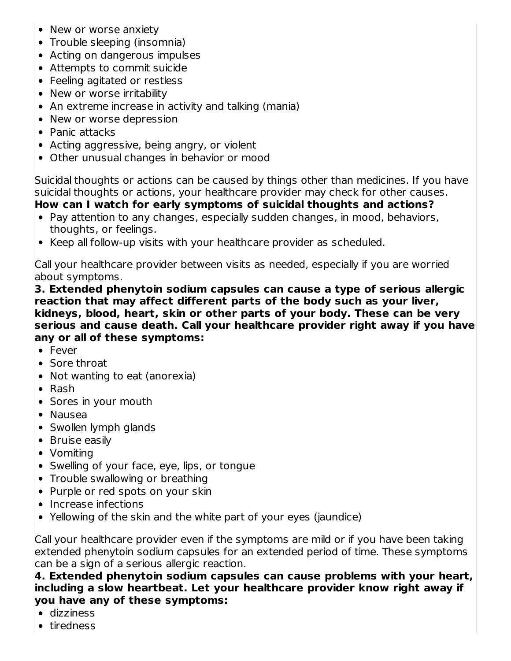- New or worse anxiety
- Trouble sleeping (insomnia)
- Acting on dangerous impulses
- Attempts to commit suicide
- Feeling agitated or restless
- New or worse irritability
- An extreme increase in activity and talking (mania)
- New or worse depression
- Panic attacks
- Acting aggressive, being angry, or violent
- Other unusual changes in behavior or mood

Suicidal thoughts or actions can be caused by things other than medicines. If you have suicidal thoughts or actions, your healthcare provider may check for other causes.

## **How can I watch for early symptoms of suicidal thoughts and actions?**

- Pay attention to any changes, especially sudden changes, in mood, behaviors, thoughts, or feelings.
- Keep all follow-up visits with your healthcare provider as scheduled.

Call your healthcare provider between visits as needed, especially if you are worried about symptoms.

**3. Extended phenytoin sodium capsules can cause a type of serious allergic reaction that may affect different parts of the body such as your liver, kidneys, blood, heart, skin or other parts of your body. These can be very serious and cause death. Call your healthcare provider right away if you have any or all of these symptoms:**

- Fever
- Sore throat
- Not wanting to eat (anorexia)
- Rash
- Sores in your mouth
- Nausea
- Swollen lymph glands
- Bruise easily
- Vomiting
- Swelling of your face, eye, lips, or tongue
- Trouble swallowing or breathing
- Purple or red spots on your skin
- Increase infections
- Yellowing of the skin and the white part of your eyes (jaundice)

Call your healthcare provider even if the symptoms are mild or if you have been taking extended phenytoin sodium capsules for an extended period of time. These symptoms can be a sign of a serious allergic reaction.

#### **4. Extended phenytoin sodium capsules can cause problems with your heart, including a slow heartbeat. Let your healthcare provider know right away if you have any of these symptoms:**

- dizziness
- tiredness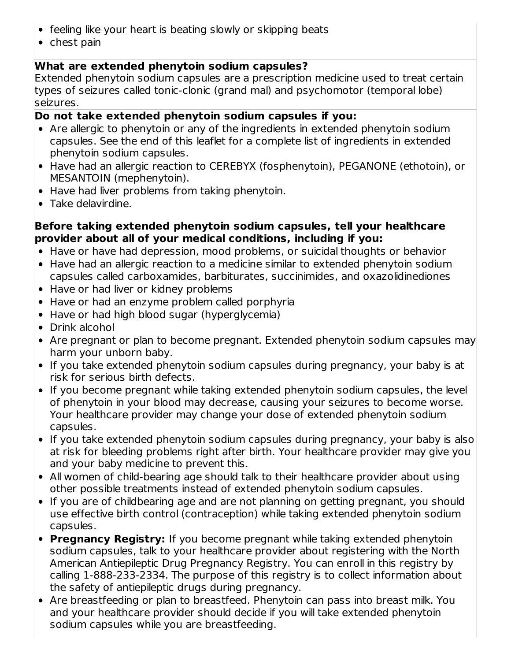- feeling like your heart is beating slowly or skipping beats
- $\bullet$  chest pain

## **What are extended phenytoin sodium capsules?**

Extended phenytoin sodium capsules are a prescription medicine used to treat certain types of seizures called tonic-clonic (grand mal) and psychomotor (temporal lobe) seizures.

## **Do not take extended phenytoin sodium capsules if you:**

- Are allergic to phenytoin or any of the ingredients in extended phenytoin sodium capsules. See the end of this leaflet for a complete list of ingredients in extended phenytoin sodium capsules.
- Have had an allergic reaction to CEREBYX (fosphenytoin), PEGANONE (ethotoin), or MESANTOIN (mephenytoin).
- Have had liver problems from taking phenytoin.
- Take delavirdine.

## **Before taking extended phenytoin sodium capsules, tell your healthcare provider about all of your medical conditions, including if you:**

- Have or have had depression, mood problems, or suicidal thoughts or behavior
- Have had an allergic reaction to a medicine similar to extended phenytoin sodium capsules called carboxamides, barbiturates, succinimides, and oxazolidinediones
- Have or had liver or kidney problems
- Have or had an enzyme problem called porphyria
- Have or had high blood sugar (hyperglycemia)
- Drink alcohol
- Are pregnant or plan to become pregnant. Extended phenytoin sodium capsules may harm your unborn baby.
- If you take extended phenytoin sodium capsules during pregnancy, your baby is at risk for serious birth defects.
- If you become pregnant while taking extended phenytoin sodium capsules, the level of phenytoin in your blood may decrease, causing your seizures to become worse. Your healthcare provider may change your dose of extended phenytoin sodium capsules.
- If you take extended phenytoin sodium capsules during pregnancy, your baby is also at risk for bleeding problems right after birth. Your healthcare provider may give you and your baby medicine to prevent this.
- All women of child-bearing age should talk to their healthcare provider about using other possible treatments instead of extended phenytoin sodium capsules.
- If you are of childbearing age and are not planning on getting pregnant, you should use effective birth control (contraception) while taking extended phenytoin sodium capsules.
- **Pregnancy Registry:** If you become pregnant while taking extended phenytoin sodium capsules, talk to your healthcare provider about registering with the North American Antiepileptic Drug Pregnancy Registry. You can enroll in this registry by calling 1-888-233-2334. The purpose of this registry is to collect information about the safety of antiepileptic drugs during pregnancy.
- Are breastfeeding or plan to breastfeed. Phenytoin can pass into breast milk. You and your healthcare provider should decide if you will take extended phenytoin sodium capsules while you are breastfeeding.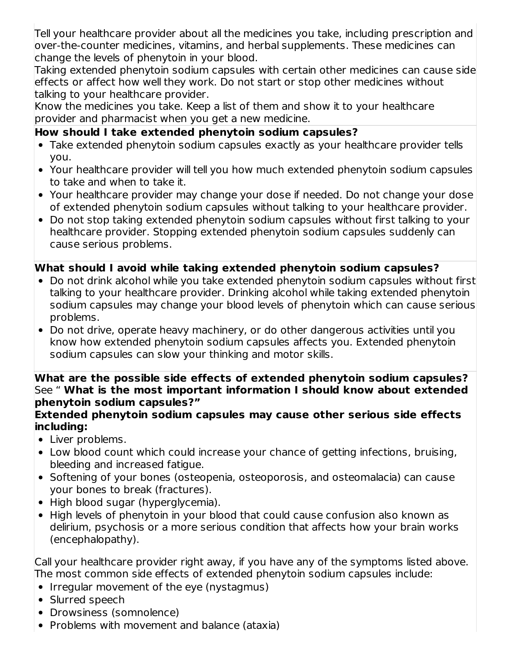Tell your healthcare provider about all the medicines you take, including prescription and over-the-counter medicines, vitamins, and herbal supplements. These medicines can change the levels of phenytoin in your blood.

Taking extended phenytoin sodium capsules with certain other medicines can cause side effects or affect how well they work. Do not start or stop other medicines without talking to your healthcare provider.

Know the medicines you take. Keep a list of them and show it to your healthcare provider and pharmacist when you get a new medicine.

#### **How should I take extended phenytoin sodium capsules?**

- Take extended phenytoin sodium capsules exactly as your healthcare provider tells you.
- Your healthcare provider will tell you how much extended phenytoin sodium capsules to take and when to take it.
- Your healthcare provider may change your dose if needed. Do not change your dose of extended phenytoin sodium capsules without talking to your healthcare provider.
- Do not stop taking extended phenytoin sodium capsules without first talking to your healthcare provider. Stopping extended phenytoin sodium capsules suddenly can cause serious problems.

#### **What should I avoid while taking extended phenytoin sodium capsules?**

- Do not drink alcohol while you take extended phenytoin sodium capsules without first talking to your healthcare provider. Drinking alcohol while taking extended phenytoin sodium capsules may change your blood levels of phenytoin which can cause serious problems.
- Do not drive, operate heavy machinery, or do other dangerous activities until you know how extended phenytoin sodium capsules affects you. Extended phenytoin sodium capsules can slow your thinking and motor skills.

#### **What are the possible side effects of extended phenytoin sodium capsules?** See " **What is the most important information I should know about extended phenytoin sodium capsules?"**

#### **Extended phenytoin sodium capsules may cause other serious side effects including:**

- Liver problems.
- Low blood count which could increase your chance of getting infections, bruising, bleeding and increased fatigue.
- Softening of your bones (osteopenia, osteoporosis, and osteomalacia) can cause your bones to break (fractures).
- High blood sugar (hyperglycemia).
- High levels of phenytoin in your blood that could cause confusion also known as delirium, psychosis or a more serious condition that affects how your brain works (encephalopathy).

Call your healthcare provider right away, if you have any of the symptoms listed above. The most common side effects of extended phenytoin sodium capsules include:

- Irregular movement of the eye (nystagmus)
- Slurred speech
- Drowsiness (somnolence)
- Problems with movement and balance (ataxia)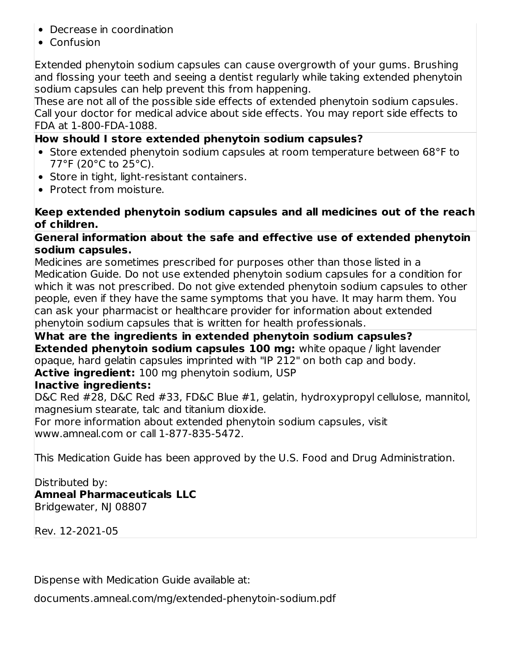- Decrease in coordination
- Confusion

Extended phenytoin sodium capsules can cause overgrowth of your gums. Brushing and flossing your teeth and seeing a dentist regularly while taking extended phenytoin sodium capsules can help prevent this from happening.

These are not all of the possible side effects of extended phenytoin sodium capsules. Call your doctor for medical advice about side effects. You may report side effects to FDA at 1-800-FDA-1088.

#### **How should I store extended phenytoin sodium capsules?**

- Store extended phenytoin sodium capsules at room temperature between 68°F to 77°F (20°C to 25°C).
- Store in tight, light-resistant containers.
- Protect from moisture.

#### **Keep extended phenytoin sodium capsules and all medicines out of the reach of children.**

#### **General information about the safe and effective use of extended phenytoin sodium capsules.**

Medicines are sometimes prescribed for purposes other than those listed in a Medication Guide. Do not use extended phenytoin sodium capsules for a condition for which it was not prescribed. Do not give extended phenytoin sodium capsules to other people, even if they have the same symptoms that you have. It may harm them. You can ask your pharmacist or healthcare provider for information about extended phenytoin sodium capsules that is written for health professionals.

**What are the ingredients in extended phenytoin sodium capsules? Extended phenytoin sodium capsules 100 mg:** white opaque / light lavender opaque, hard gelatin capsules imprinted with "IP 212" on both cap and body. **Active ingredient:** 100 mg phenytoin sodium, USP

#### **Inactive ingredients:**

D&C Red #28, D&C Red #33, FD&C Blue #1, gelatin, hydroxypropyl cellulose, mannitol, magnesium stearate, talc and titanium dioxide.

For more information about extended phenytoin sodium capsules, visit www.amneal.com or call 1-877-835-5472.

This Medication Guide has been approved by the U.S. Food and Drug Administration.

#### Distributed by:

**Amneal Pharmaceuticals LLC**

Bridgewater, NJ 08807

Rev. 12-2021-05

Dispense with Medication Guide available at:

documents.amneal.com/mg/extended-phenytoin-sodium.pdf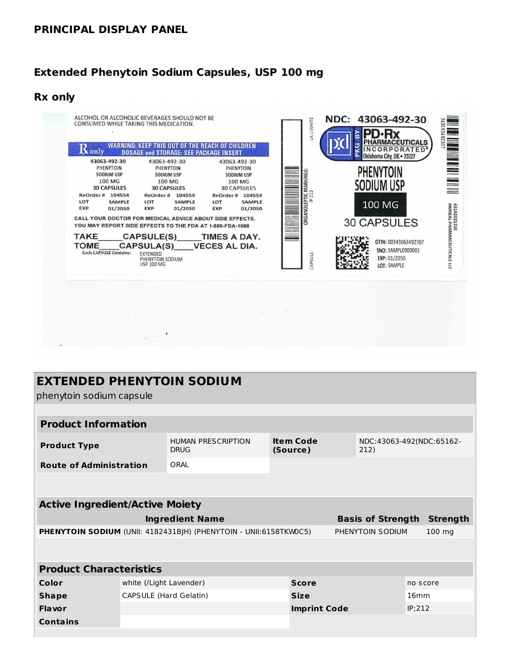#### **PRINCIPAL DISPLAY PANEL**

#### **Extended Phenytoin Sodium Capsules, USP 100 mg**

#### **Rx only**



#### **EXTENDED PHENYTOIN SODIUM**

phenytoin sodium capsule

| <b>Product Information</b>                                                                               |                                       |                                          |                              |                  |        |                          |  |
|----------------------------------------------------------------------------------------------------------|---------------------------------------|------------------------------------------|------------------------------|------------------|--------|--------------------------|--|
| <b>Product Type</b>                                                                                      |                                       | <b>HUMAN PRESCRIPTION</b><br><b>DRUG</b> | <b>Item Code</b><br>(Source) | 212)             |        | NDC:43063-492(NDC:65162- |  |
| <b>Route of Administration</b>                                                                           |                                       | ORAI                                     |                              |                  |        |                          |  |
|                                                                                                          |                                       |                                          |                              |                  |        |                          |  |
|                                                                                                          |                                       |                                          |                              |                  |        |                          |  |
| <b>Active Ingredient/Active Moiety</b>                                                                   |                                       |                                          |                              |                  |        |                          |  |
| <b>Ingredient Name</b><br><b>Basis of Strength</b><br><b>Strength</b>                                    |                                       |                                          |                              |                  |        |                          |  |
| <b>PHENYTOIN SODIUM (UNII: 4182431BJH) (PHENYTOIN - UNII:6158TKW0C5)</b><br>PHENYTOIN SODIUM<br>$100$ mg |                                       |                                          |                              |                  |        |                          |  |
|                                                                                                          |                                       |                                          |                              |                  |        |                          |  |
|                                                                                                          |                                       |                                          |                              |                  |        |                          |  |
| <b>Product Characteristics</b>                                                                           |                                       |                                          |                              |                  |        |                          |  |
| Color                                                                                                    | white (/Light Lavender)               |                                          | <b>Score</b>                 |                  |        | no score                 |  |
| <b>Shape</b>                                                                                             | CAPSULE (Hard Gelatin)<br><b>Size</b> |                                          |                              | 16 <sub>mm</sub> |        |                          |  |
| <b>Flavor</b>                                                                                            |                                       |                                          | <b>Imprint Code</b>          |                  | IP;212 |                          |  |
| <b>Contains</b>                                                                                          |                                       |                                          |                              |                  |        |                          |  |
|                                                                                                          |                                       |                                          |                              |                  |        |                          |  |